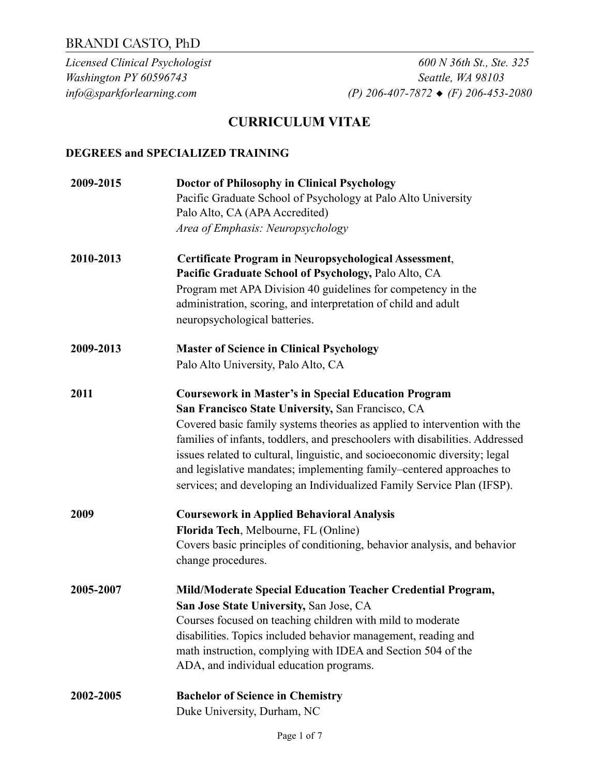*Licensed Clinical Psychologist 600 N 36th St., Ste. 325 Washington PY 60596743 Seattle, WA 98103 info@sparkforlearning.com (P) 206-407-7872* ◆ *(F) 206-453-2080* 

## **CURRICULUM VITAE**

#### **DEGREES and SPECIALIZED TRAINING**

| 2009-2015 | <b>Doctor of Philosophy in Clinical Psychology</b>                           |
|-----------|------------------------------------------------------------------------------|
|           | Pacific Graduate School of Psychology at Palo Alto University                |
|           | Palo Alto, CA (APA Accredited)                                               |
|           | Area of Emphasis: Neuropsychology                                            |
| 2010-2013 | Certificate Program in Neuropsychological Assessment,                        |
|           | Pacific Graduate School of Psychology, Palo Alto, CA                         |
|           | Program met APA Division 40 guidelines for competency in the                 |
|           | administration, scoring, and interpretation of child and adult               |
|           | neuropsychological batteries.                                                |
| 2009-2013 | <b>Master of Science in Clinical Psychology</b>                              |
|           | Palo Alto University, Palo Alto, CA                                          |
| 2011      | <b>Coursework in Master's in Special Education Program</b>                   |
|           | San Francisco State University, San Francisco, CA                            |
|           | Covered basic family systems theories as applied to intervention with the    |
|           | families of infants, toddlers, and preschoolers with disabilities. Addressed |
|           | issues related to cultural, linguistic, and socioeconomic diversity; legal   |
|           | and legislative mandates; implementing family–centered approaches to         |
|           | services; and developing an Individualized Family Service Plan (IFSP).       |
| 2009      | <b>Coursework in Applied Behavioral Analysis</b>                             |
|           | Florida Tech, Melbourne, FL (Online)                                         |
|           | Covers basic principles of conditioning, behavior analysis, and behavior     |
|           | change procedures.                                                           |
| 2005-2007 | Mild/Moderate Special Education Teacher Credential Program,                  |
|           | San Jose State University, San Jose, CA                                      |
|           | Courses focused on teaching children with mild to moderate                   |
|           | disabilities. Topics included behavior management, reading and               |
|           | math instruction, complying with IDEA and Section 504 of the                 |
|           | ADA, and individual education programs.                                      |
| 2002-2005 | <b>Bachelor of Science in Chemistry</b>                                      |
|           | Duke University, Durham, NC                                                  |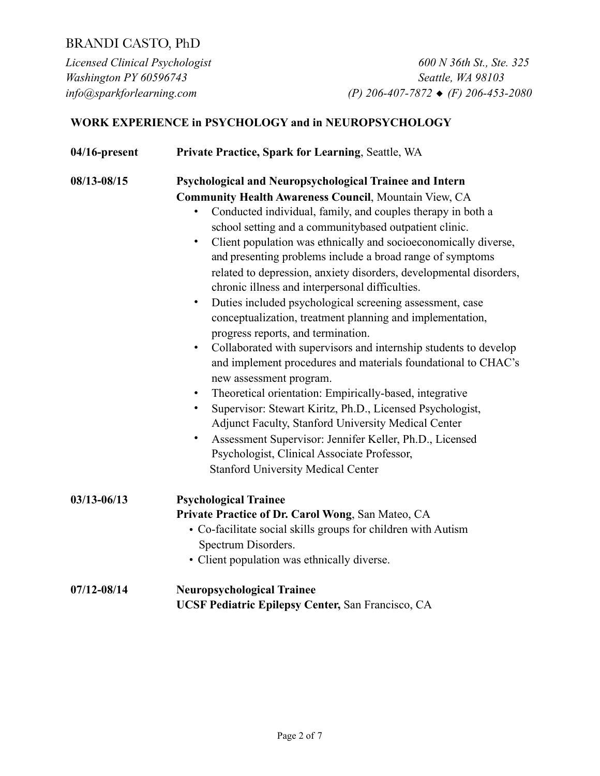*Licensed Clinical Psychologist 600 N 36th St., Ste. 325 Washington PY 60596743 Seattle, WA 98103 info@sparkforlearning.com (P) 206-407-7872* ◆ *(F) 206-453-2080* 

### **WORK EXPERIENCE in PSYCHOLOGY and in NEUROPSYCHOLOGY**

| $04/16$ -present | Private Practice, Spark for Learning, Seattle, WA                                                                                                                                                                                                                                                                                                                                                                                                                                                                                                                                                                                                                                                                                                                                                                                                                                                                                                                                                                                                                                                                                                                                                                                       |
|------------------|-----------------------------------------------------------------------------------------------------------------------------------------------------------------------------------------------------------------------------------------------------------------------------------------------------------------------------------------------------------------------------------------------------------------------------------------------------------------------------------------------------------------------------------------------------------------------------------------------------------------------------------------------------------------------------------------------------------------------------------------------------------------------------------------------------------------------------------------------------------------------------------------------------------------------------------------------------------------------------------------------------------------------------------------------------------------------------------------------------------------------------------------------------------------------------------------------------------------------------------------|
| 08/13-08/15      | Psychological and Neuropsychological Trainee and Intern<br><b>Community Health Awareness Council, Mountain View, CA</b><br>Conducted individual, family, and couples therapy in both a<br>school setting and a communitybased outpatient clinic.<br>Client population was ethnically and socioeconomically diverse,<br>$\bullet$<br>and presenting problems include a broad range of symptoms<br>related to depression, anxiety disorders, developmental disorders,<br>chronic illness and interpersonal difficulties.<br>Duties included psychological screening assessment, case<br>$\bullet$<br>conceptualization, treatment planning and implementation,<br>progress reports, and termination.<br>Collaborated with supervisors and internship students to develop<br>$\bullet$<br>and implement procedures and materials foundational to CHAC's<br>new assessment program.<br>Theoretical orientation: Empirically-based, integrative<br>$\bullet$<br>Supervisor: Stewart Kiritz, Ph.D., Licensed Psychologist,<br>٠<br>Adjunct Faculty, Stanford University Medical Center<br>Assessment Supervisor: Jennifer Keller, Ph.D., Licensed<br>Psychologist, Clinical Associate Professor,<br><b>Stanford University Medical Center</b> |
| $03/13 - 06/13$  | <b>Psychological Trainee</b><br>Private Practice of Dr. Carol Wong, San Mateo, CA<br>• Co-facilitate social skills groups for children with Autism<br>Spectrum Disorders.<br>• Client population was ethnically diverse.                                                                                                                                                                                                                                                                                                                                                                                                                                                                                                                                                                                                                                                                                                                                                                                                                                                                                                                                                                                                                |
| $07/12 - 08/14$  | <b>Neuropsychological Trainee</b><br>UCSF Pediatric Epilepsy Center, San Francisco, CA                                                                                                                                                                                                                                                                                                                                                                                                                                                                                                                                                                                                                                                                                                                                                                                                                                                                                                                                                                                                                                                                                                                                                  |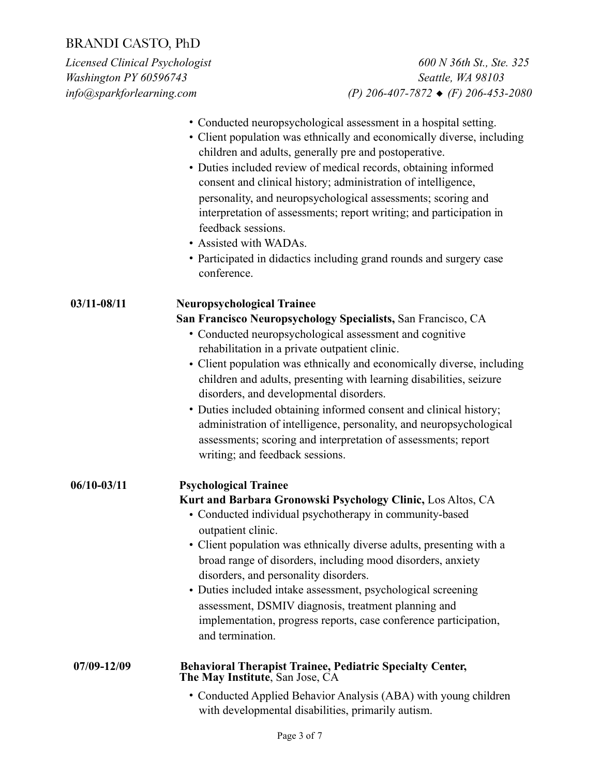*Licensed Clinical Psychologist 600 N 36th St., Ste. 325 Washington PY 60596743 Seattle, WA 98103 info@sparkforlearning.com (P) 206-407-7872* ◆ *(F) 206-453-2080* 

|                 | • Conducted neuropsychological assessment in a hospital setting.<br>• Client population was ethnically and economically diverse, including<br>children and adults, generally pre and postoperative.<br>• Duties included review of medical records, obtaining informed<br>consent and clinical history; administration of intelligence,<br>personality, and neuropsychological assessments; scoring and<br>interpretation of assessments; report writing; and participation in<br>feedback sessions.<br>• Assisted with WADAs.<br>• Participated in didactics including grand rounds and surgery case<br>conference.                                         |
|-----------------|--------------------------------------------------------------------------------------------------------------------------------------------------------------------------------------------------------------------------------------------------------------------------------------------------------------------------------------------------------------------------------------------------------------------------------------------------------------------------------------------------------------------------------------------------------------------------------------------------------------------------------------------------------------|
| $03/11 - 08/11$ | <b>Neuropsychological Trainee</b><br>San Francisco Neuropsychology Specialists, San Francisco, CA<br>• Conducted neuropsychological assessment and cognitive<br>rehabilitation in a private outpatient clinic.<br>• Client population was ethnically and economically diverse, including<br>children and adults, presenting with learning disabilities, seizure<br>disorders, and developmental disorders.<br>• Duties included obtaining informed consent and clinical history;<br>administration of intelligence, personality, and neuropsychological<br>assessments; scoring and interpretation of assessments; report<br>writing; and feedback sessions. |
| $06/10 - 03/11$ | <b>Psychological Trainee</b><br>Kurt and Barbara Gronowski Psychology Clinic, Los Altos, CA<br>• Conducted individual psychotherapy in community-based<br>outpatient clinic.<br>• Client population was ethnically diverse adults, presenting with a<br>broad range of disorders, including mood disorders, anxiety<br>disorders, and personality disorders.<br>• Duties included intake assessment, psychological screening<br>assessment, DSMIV diagnosis, treatment planning and<br>implementation, progress reports, case conference participation,<br>and termination.                                                                                  |
| 07/09-12/09     | <b>Behavioral Therapist Trainee, Pediatric Specialty Center,</b><br>The May Institute, San Jose, CA                                                                                                                                                                                                                                                                                                                                                                                                                                                                                                                                                          |

• Conducted Applied Behavior Analysis (ABA) with young children with developmental disabilities, primarily autism.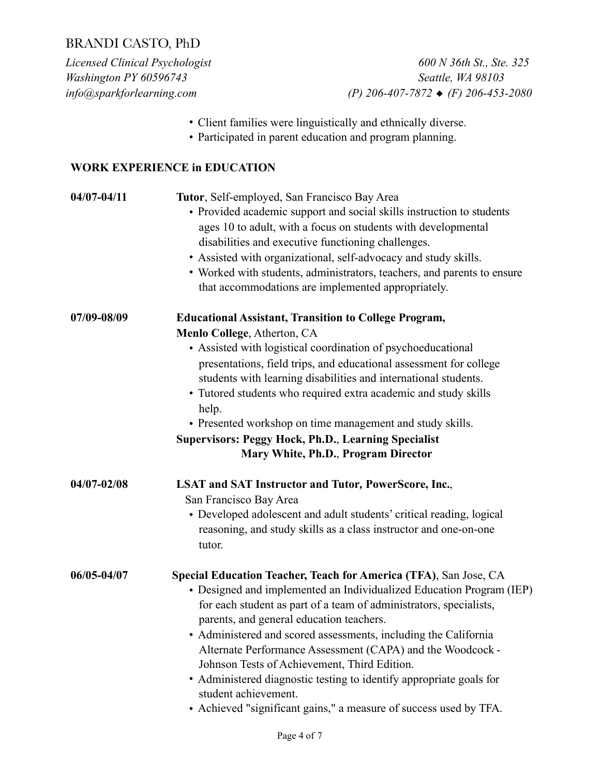*Licensed Clinical Psychologist 600 N 36th St., Ste. 325 Washington PY 60596743 Seattle, WA 98103 info@sparkforlearning.com (P) 206-407-7872* ◆ *(F) 206-453-2080* 

- Client families were linguistically and ethnically diverse.
- Participated in parent education and program planning.

#### **WORK EXPERIENCE in EDUCATION**

| $04/07 - 04/11$ | Tutor, Self-employed, San Francisco Bay Area<br>• Provided academic support and social skills instruction to students<br>ages 10 to adult, with a focus on students with developmental<br>disabilities and executive functioning challenges.<br>• Assisted with organizational, self-advocacy and study skills.<br>• Worked with students, administrators, teachers, and parents to ensure<br>that accommodations are implemented appropriately.                                                                                                                                                                |  |
|-----------------|-----------------------------------------------------------------------------------------------------------------------------------------------------------------------------------------------------------------------------------------------------------------------------------------------------------------------------------------------------------------------------------------------------------------------------------------------------------------------------------------------------------------------------------------------------------------------------------------------------------------|--|
| 07/09-08/09     | <b>Educational Assistant, Transition to College Program,</b><br>Menlo College, Atherton, CA<br>• Assisted with logistical coordination of psychoeducational<br>presentations, field trips, and educational assessment for college<br>students with learning disabilities and international students.<br>• Tutored students who required extra academic and study skills<br>help.<br>• Presented workshop on time management and study skills.<br><b>Supervisors: Peggy Hock, Ph.D., Learning Specialist</b><br>Mary White, Ph.D., Program Director                                                              |  |
| $04/07 - 02/08$ | <b>LSAT and SAT Instructor and Tutor, PowerScore, Inc.,</b><br>San Francisco Bay Area<br>• Developed adolescent and adult students' critical reading, logical<br>reasoning, and study skills as a class instructor and one-on-one<br>tutor.                                                                                                                                                                                                                                                                                                                                                                     |  |
| 06/05-04/07     | Special Education Teacher, Teach for America (TFA), San Jose, CA<br>• Designed and implemented an Individualized Education Program (IEP)<br>for each student as part of a team of administrators, specialists,<br>parents, and general education teachers.<br>• Administered and scored assessments, including the California<br>Alternate Performance Assessment (CAPA) and the Woodcock -<br>Johnson Tests of Achievement, Third Edition.<br>• Administered diagnostic testing to identify appropriate goals for<br>student achievement.<br>• Achieved "significant gains," a measure of success used by TFA. |  |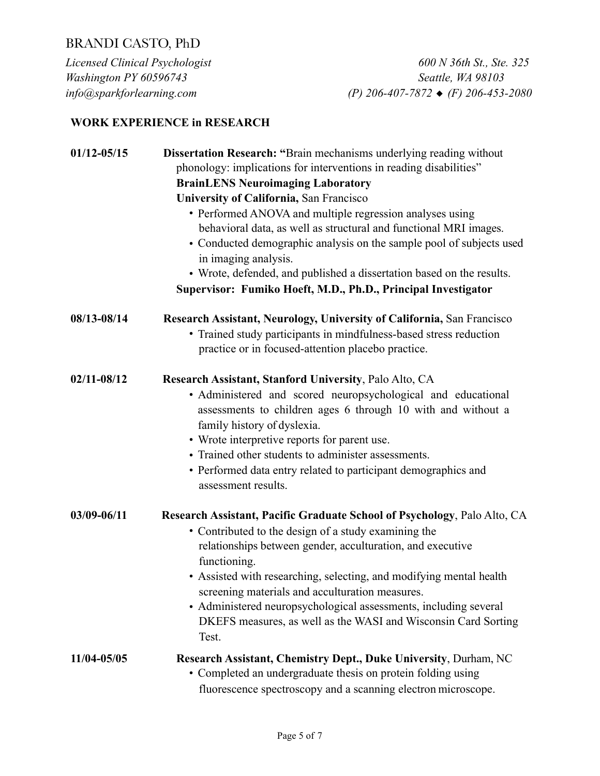*Licensed Clinical Psychologist 600 N 36th St., Ste. 325 Washington PY 60596743 Seattle, WA 98103 info@sparkforlearning.com (P) 206-407-7872* ◆ *(F) 206-453-2080* 

#### **WORK EXPERIENCE in RESEARCH**

| $01/12 - 05/15$ | <b>Dissertation Research: "</b> Brain mechanisms underlying reading without<br>phonology: implications for interventions in reading disabilities"                                                                                                                                                                                                                       |  |
|-----------------|-------------------------------------------------------------------------------------------------------------------------------------------------------------------------------------------------------------------------------------------------------------------------------------------------------------------------------------------------------------------------|--|
|                 | <b>BrainLENS Neuroimaging Laboratory</b>                                                                                                                                                                                                                                                                                                                                |  |
|                 | <b>University of California, San Francisco</b>                                                                                                                                                                                                                                                                                                                          |  |
|                 | • Performed ANOVA and multiple regression analyses using<br>behavioral data, as well as structural and functional MRI images.<br>• Conducted demographic analysis on the sample pool of subjects used<br>in imaging analysis.<br>• Wrote, defended, and published a dissertation based on the results.<br>Supervisor: Fumiko Hoeft, M.D., Ph.D., Principal Investigator |  |
| 08/13-08/14     | <b>Research Assistant, Neurology, University of California, San Francisco</b>                                                                                                                                                                                                                                                                                           |  |
|                 | • Trained study participants in mindfulness-based stress reduction                                                                                                                                                                                                                                                                                                      |  |
|                 | practice or in focused-attention placebo practice.                                                                                                                                                                                                                                                                                                                      |  |
| $02/11 - 08/12$ | Research Assistant, Stanford University, Palo Alto, CA                                                                                                                                                                                                                                                                                                                  |  |
|                 | · Administered and scored neuropsychological and educational                                                                                                                                                                                                                                                                                                            |  |
|                 | assessments to children ages 6 through 10 with and without a                                                                                                                                                                                                                                                                                                            |  |
|                 | family history of dyslexia.                                                                                                                                                                                                                                                                                                                                             |  |
|                 | • Wrote interpretive reports for parent use.<br>• Trained other students to administer assessments.                                                                                                                                                                                                                                                                     |  |
|                 | • Performed data entry related to participant demographics and                                                                                                                                                                                                                                                                                                          |  |
|                 | assessment results.                                                                                                                                                                                                                                                                                                                                                     |  |
| 03/09-06/11     | Research Assistant, Pacific Graduate School of Psychology, Palo Alto, CA                                                                                                                                                                                                                                                                                                |  |
|                 | • Contributed to the design of a study examining the                                                                                                                                                                                                                                                                                                                    |  |
|                 | relationships between gender, acculturation, and executive                                                                                                                                                                                                                                                                                                              |  |
|                 | functioning.                                                                                                                                                                                                                                                                                                                                                            |  |
|                 | • Assisted with researching, selecting, and modifying mental health                                                                                                                                                                                                                                                                                                     |  |
|                 | screening materials and acculturation measures.<br>• Administered neuropsychological assessments, including several                                                                                                                                                                                                                                                     |  |
|                 | DKEFS measures, as well as the WASI and Wisconsin Card Sorting                                                                                                                                                                                                                                                                                                          |  |
|                 | Test.                                                                                                                                                                                                                                                                                                                                                                   |  |
| 11/04-05/05     | Research Assistant, Chemistry Dept., Duke University, Durham, NC                                                                                                                                                                                                                                                                                                        |  |
|                 | • Completed an undergraduate thesis on protein folding using                                                                                                                                                                                                                                                                                                            |  |
|                 | fluorescence spectroscopy and a scanning electron microscope.                                                                                                                                                                                                                                                                                                           |  |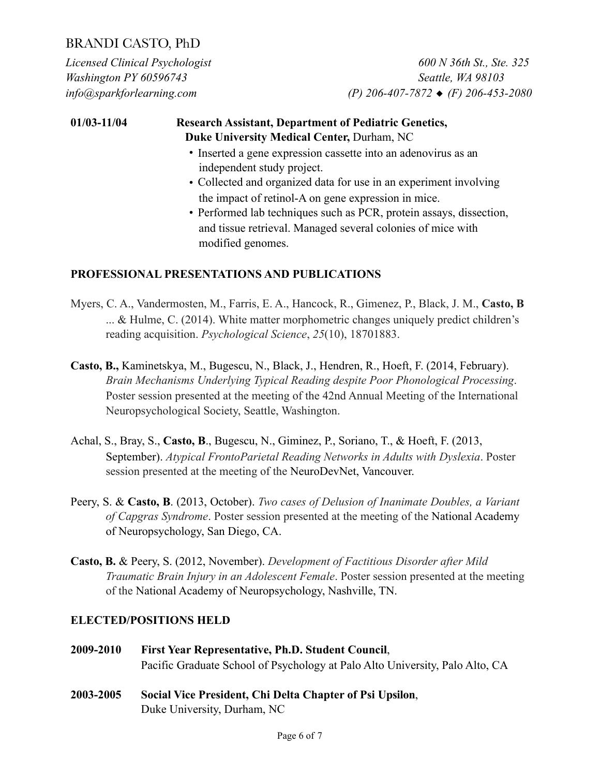*Licensed Clinical Psychologist 600 N 36th St., Ste. 325 Washington PY 60596743 Seattle, WA 98103 info@sparkforlearning.com (P) 206-407-7872* ◆ *(F) 206-453-2080* 

### **01/03-11/04 Research Assistant, Department of Pediatric Genetics, Duke University Medical Center,** Durham, NC

- Inserted a gene expression cassette into an adenovirus as an independent study project.
- Collected and organized data for use in an experiment involving the impact of retinol-A on gene expression in mice.
- Performed lab techniques such as PCR, protein assays, dissection, and tissue retrieval. Managed several colonies of mice with modified genomes.

#### **PROFESSIONAL PRESENTATIONS AND PUBLICATIONS**

- Myers, C. A., Vandermosten, M., Farris, E. A., Hancock, R., Gimenez, P., Black, J. M., **Casto, B** ... & Hulme, C. (2014). White matter morphometric changes uniquely predict children's reading acquisition. *Psychological Science*, *25*(10), 18701883.
- **Casto, B.,** Kaminetskya, M., Bugescu, N., Black, J., Hendren, R., Hoeft, F. (2014, February). *Brain Mechanisms Underlying Typical Reading despite Poor Phonological Processing*. Poster session presented at the meeting of the 42nd Annual Meeting of the International Neuropsychological Society, Seattle, Washington.
- Achal, S., Bray, S., **Casto, B**., Bugescu, N., Giminez, P., Soriano, T., & Hoeft, F. (2013, September). *Atypical FrontoParietal Reading Networks in Adults with Dyslexia*. Poster session presented at the meeting of the NeuroDevNet, Vancouver.
- Peery, S. & **Casto, B**. (2013, October). *Two cases of Delusion of Inanimate Doubles, a Variant of Capgras Syndrome*. Poster session presented at the meeting of the National Academy of Neuropsychology, San Diego, CA.
- **Casto, B.** & Peery, S. (2012, November). *Development of Factitious Disorder after Mild Traumatic Brain Injury in an Adolescent Female*. Poster session presented at the meeting of the National Academy of Neuropsychology, Nashville, TN.

#### **ELECTED/POSITIONS HELD**

- **2009-2010 First Year Representative, Ph.D. Student Council**, Pacific Graduate School of Psychology at Palo Alto University, Palo Alto, CA
- **2003-2005 Social Vice President, Chi Delta Chapter of Psi Upsilon**, Duke University, Durham, NC